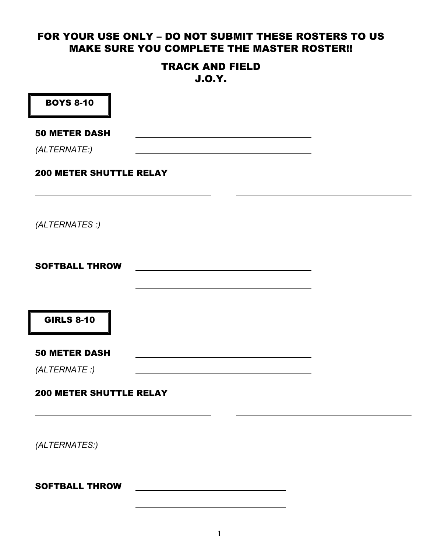#### FOR YOUR USE ONLY - DO NOT SUBMIT THESE ROSTERS TO US MAKE SURE YOU COMPLETE THE MASTER ROSTER!!

#### TRACK AND FIELD J.O.Y.

| <b>BOYS 8-10</b>               |  |  |
|--------------------------------|--|--|
| <b>50 METER DASH</b>           |  |  |
| (ALTERNATE:)                   |  |  |
| <b>200 METER SHUTTLE RELAY</b> |  |  |
|                                |  |  |
| (ALTERNATES :)                 |  |  |
| <b>SOFTBALL THROW</b>          |  |  |
|                                |  |  |
| <b>GIRLS 8-10</b>              |  |  |
| <b>50 METER DASH</b>           |  |  |
| (ALTERNATE: )                  |  |  |
| <b>200 METER SHUTTLE RELAY</b> |  |  |
|                                |  |  |
| (ALTERNATES:)                  |  |  |
| <b>SOFTBALL THROW</b>          |  |  |
|                                |  |  |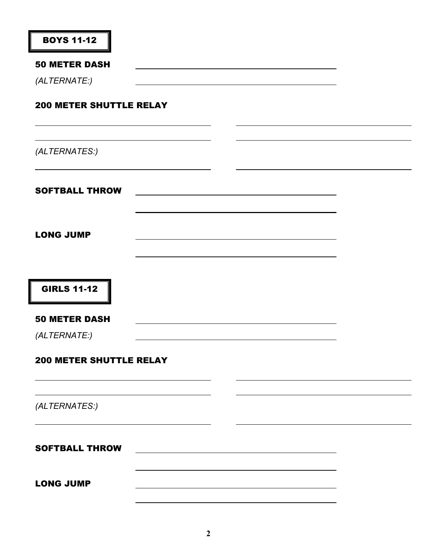| <b>BOYS 11-12</b>              |  |  |
|--------------------------------|--|--|
| <b>50 METER DASH</b>           |  |  |
| (ALTERNATE:)                   |  |  |
| <b>200 METER SHUTTLE RELAY</b> |  |  |
| (ALTERNATES:)                  |  |  |
| <b>SOFTBALL THROW</b>          |  |  |
| <b>LONG JUMP</b>               |  |  |
| <b>GIRLS 11-12</b>             |  |  |
| <b>50 METER DASH</b>           |  |  |
| (ALTERNATE:)                   |  |  |
| <b>200 METER SHUTTLE RELAY</b> |  |  |
|                                |  |  |
| (ALTERNATES:)                  |  |  |
| <b>SOFTBALL THROW</b>          |  |  |
| <b>LONG JUMP</b>               |  |  |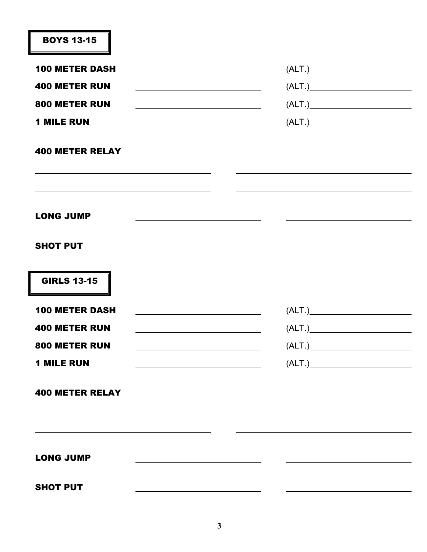| <b>BOYS 13-15</b>                                                                                                                        |                     |
|------------------------------------------------------------------------------------------------------------------------------------------|---------------------|
| <b>100 METER DASH</b>                                                                                                                    |                     |
| <b>400 METER RUN</b>                                                                                                                     |                     |
| 800 METER RUN<br><u> 1989 - Johann Stoff, deutscher Stoffen und der Stoffen und der Stoffen und der Stoffen und der Stoffen und der </u> |                     |
| <b>1 MILE RUN</b>                                                                                                                        |                     |
| <b>400 METER RELAY</b>                                                                                                                   |                     |
|                                                                                                                                          |                     |
| <b>LONG JUMP</b>                                                                                                                         |                     |
| <b>SHOT PUT</b>                                                                                                                          |                     |
| <b>GIRLS 13-15</b>                                                                                                                       |                     |
| <b>100 METER DASH</b><br><u> 1989 - Johann Barbara, martxa alemaniar a</u>                                                               |                     |
| <b>400 METER RUN</b>                                                                                                                     | $\left(ALT.\right)$ |
| 800 METER RUN                                                                                                                            |                     |
| <b>1 MILE RUN</b>                                                                                                                        |                     |
| <b>400 METER RELAY</b>                                                                                                                   |                     |
|                                                                                                                                          |                     |
| <b>LONG JUMP</b>                                                                                                                         |                     |
| <b>SHOT PUT</b>                                                                                                                          |                     |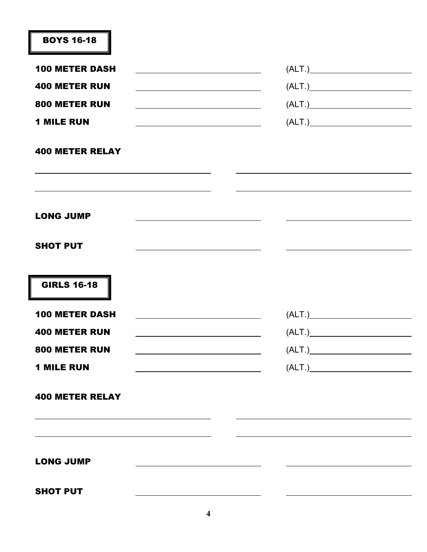| <b>BOYS 16-18</b>                                                                                                                         |                           |
|-------------------------------------------------------------------------------------------------------------------------------------------|---------------------------|
| <b>100 METER DASH</b><br><u> 1980 - Johann Barbara, martxa alemaniar a</u>                                                                |                           |
| <b>400 METER RUN</b>                                                                                                                      |                           |
| 800 METER RUN<br><u> 1980 - Johann Barn, mars ann an t-Amhain Aonaich an t-Aonaich an t-Aonaich an t-Aonaich an t-Aonaich an t-Aon</u>    |                           |
| <b>1 MILE RUN</b>                                                                                                                         |                           |
| <b>400 METER RELAY</b>                                                                                                                    |                           |
| <b>LONG JUMP</b>                                                                                                                          |                           |
| <b>SHOT PUT</b>                                                                                                                           |                           |
| <b>GIRLS 16-18</b>                                                                                                                        |                           |
| <b>100 METER DASH</b>                                                                                                                     | $\overline{(ALT.)}$       |
| <b>400 METER RUN</b>                                                                                                                      | $\overbrace{\text{ALT.}}$ |
| 800 METER RUN<br><u> 1989 - Johann Stoff, deutscher Stoffen und der Stoffen und der Stoffen und der Stoffen und der Stoffen und der</u>   |                           |
| <b>1 MILE RUN</b><br><u> 1980 - Johann Barn, fransk politik (f. 1980)</u>                                                                 |                           |
| <b>400 METER RELAY</b>                                                                                                                    |                           |
| <u> 1989 - Andrea Barbara, Amerikaansk politiker (d. 1989)</u>                                                                            |                           |
| <b>LONG JUMP</b><br><u> 1989 - Johann Barbara, martin amerikan basar dan basa dan basa dan basa dalam basa dalam basa dalam basa dala</u> |                           |
| <b>SHOT PUT</b>                                                                                                                           |                           |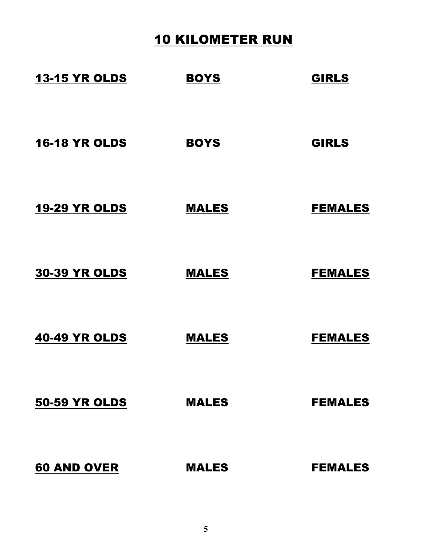## 10 KILOMETER RUN

| <b>13-15 YR OLDS</b> | <b>BOYS</b>  | <b>GIRLS</b>   |
|----------------------|--------------|----------------|
| <b>16-18 YR OLDS</b> | <b>BOYS</b>  | <b>GIRLS</b>   |
| <b>19-29 YR OLDS</b> | <b>MALES</b> | <b>FEMALES</b> |
| <b>30-39 YR OLDS</b> | <b>MALES</b> | <b>FEMALES</b> |
| <b>40-49 YR OLDS</b> | <b>MALES</b> | <b>FEMALES</b> |
| <b>50-59 YR OLDS</b> | <b>MALES</b> | <b>FEMALES</b> |
| <b>60 AND OVER</b>   | <b>MALES</b> | <b>FEMALES</b> |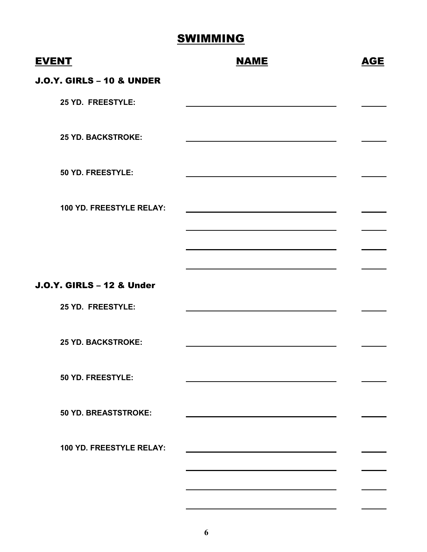| <b>EVENT</b>                         | <b>NAME</b> | <b>AGE</b> |
|--------------------------------------|-------------|------------|
| <b>J.O.Y. GIRLS - 10 &amp; UNDER</b> |             |            |
| 25 YD. FREESTYLE:                    |             |            |
| <b>25 YD. BACKSTROKE:</b>            |             |            |
| 50 YD. FREESTYLE:                    |             |            |
| 100 YD. FREESTYLE RELAY:             |             |            |
|                                      |             |            |
|                                      |             |            |
| <b>J.O.Y. GIRLS - 12 &amp; Under</b> |             |            |
| 25 YD. FREESTYLE:                    |             |            |
| <b>25 YD. BACKSTROKE:</b>            |             |            |
| 50 YD. FREESTYLE:                    |             |            |
| <b>50 YD. BREASTSTROKE:</b>          |             |            |
| 100 YD. FREESTYLE RELAY:             |             |            |
|                                      |             |            |
|                                      |             |            |
|                                      |             |            |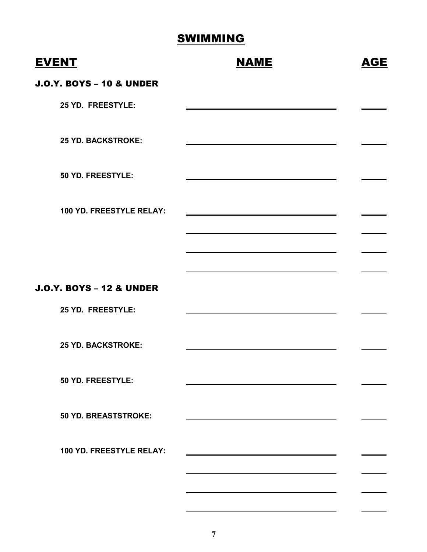| <b>EVENT</b>                        | <b>NAME</b> | AGE |
|-------------------------------------|-------------|-----|
| <b>J.O.Y. BOYS - 10 &amp; UNDER</b> |             |     |
| 25 YD. FREESTYLE:                   |             |     |
| <b>25 YD. BACKSTROKE:</b>           |             |     |
| 50 YD. FREESTYLE:                   |             |     |
| 100 YD. FREESTYLE RELAY:            |             |     |
|                                     |             |     |
| <b>J.O.Y. BOYS - 12 &amp; UNDER</b> |             |     |
| 25 YD. FREESTYLE:                   |             |     |
| <b>25 YD. BACKSTROKE:</b>           |             |     |
| 50 YD. FREESTYLE:                   |             |     |
| 50 YD. BREASTSTROKE:                |             |     |
| 100 YD. FREESTYLE RELAY:            |             |     |
|                                     |             |     |
|                                     |             |     |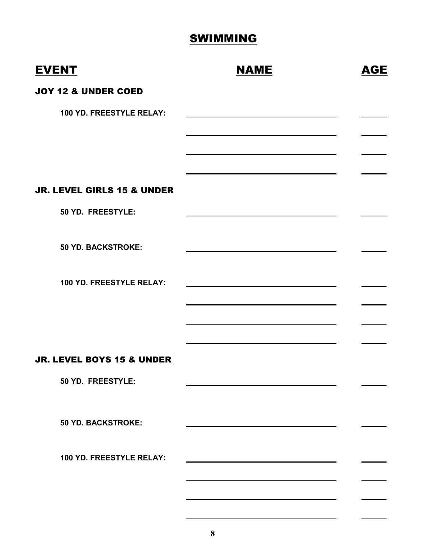| <b>EVENT</b>                         | <b>NAME</b> | <b>AGE</b> |
|--------------------------------------|-------------|------------|
| <b>JOY 12 &amp; UNDER COED</b>       |             |            |
| 100 YD. FREESTYLE RELAY:             |             |            |
|                                      |             |            |
|                                      |             |            |
|                                      |             |            |
| JR. LEVEL GIRLS 15 & UNDER           |             |            |
| 50 YD. FREESTYLE:                    |             |            |
|                                      |             |            |
| <b>50 YD. BACKSTROKE:</b>            |             |            |
| 100 YD. FREESTYLE RELAY:             |             |            |
|                                      |             |            |
|                                      |             |            |
|                                      |             |            |
| <b>JR. LEVEL BOYS 15 &amp; UNDER</b> |             |            |
| 50 YD. FREESTYLE:                    |             |            |
|                                      |             |            |
| <b>50 YD. BACKSTROKE:</b>            |             |            |
| 100 YD. FREESTYLE RELAY:             |             |            |
|                                      |             |            |
|                                      |             |            |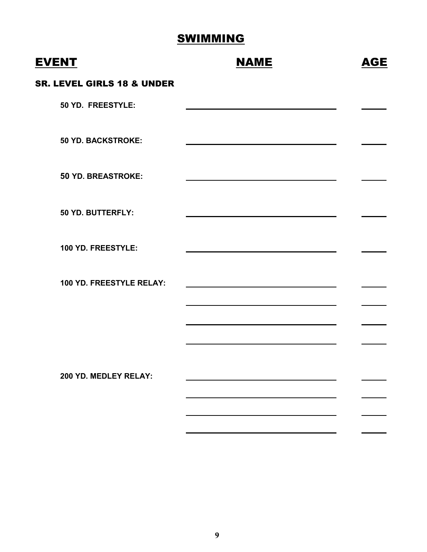| <b>EVENT</b>                          | <b>NAME</b> | <b>AGE</b> |
|---------------------------------------|-------------|------------|
| <b>SR. LEVEL GIRLS 18 &amp; UNDER</b> |             |            |
| 50 YD. FREESTYLE:                     |             |            |
| <b>50 YD. BACKSTROKE:</b>             |             |            |
| <b>50 YD. BREASTROKE:</b>             |             |            |
| 50 YD. BUTTERFLY:                     |             |            |
| 100 YD. FREESTYLE:                    |             |            |
| 100 YD. FREESTYLE RELAY:              |             |            |
|                                       |             |            |
|                                       |             |            |
| 200 YD. MEDLEY RELAY:                 |             |            |
|                                       |             |            |
|                                       |             |            |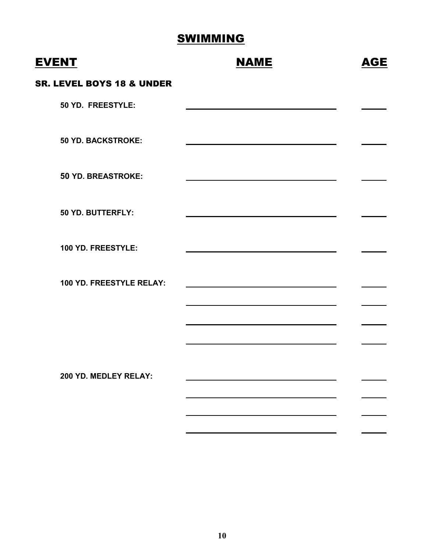| <b>EVENT</b>                         | <b>NAME</b> | <b>AGE</b> |
|--------------------------------------|-------------|------------|
| <b>SR. LEVEL BOYS 18 &amp; UNDER</b> |             |            |
| 50 YD. FREESTYLE:                    |             |            |
| <b>50 YD. BACKSTROKE:</b>            |             |            |
| <b>50 YD. BREASTROKE:</b>            |             |            |
| 50 YD. BUTTERFLY:                    |             |            |
| 100 YD. FREESTYLE:                   |             |            |
| 100 YD. FREESTYLE RELAY:             |             |            |
|                                      |             |            |
|                                      |             |            |
| 200 YD. MEDLEY RELAY:                |             |            |
|                                      |             |            |
|                                      |             |            |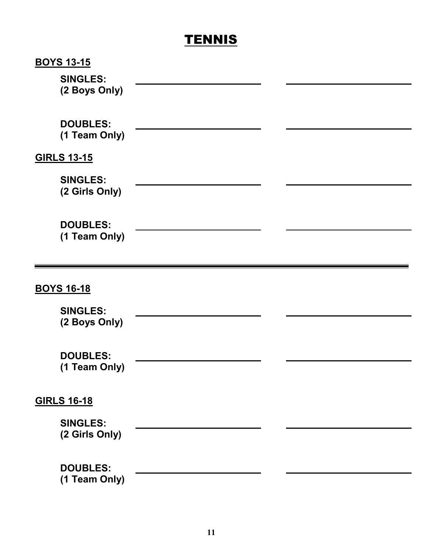## **TENNIS**

| <b>BOYS 13-15</b>  |  |
|--------------------|--|
| <b>SINGLES:</b>    |  |
| (2 Boys Only)      |  |
|                    |  |
| <b>DOUBLES:</b>    |  |
| (1 Team Only)      |  |
| <b>GIRLS 13-15</b> |  |
| <b>SINGLES:</b>    |  |
| (2 Girls Only)     |  |
|                    |  |
| <b>DOUBLES:</b>    |  |
| (1 Team Only)      |  |
|                    |  |
|                    |  |
|                    |  |
| <b>BOYS 16-18</b>  |  |
|                    |  |
| <b>SINGLES:</b>    |  |
| (2 Boys Only)      |  |
|                    |  |
| <b>DOUBLES:</b>    |  |
| (1 Team Only)      |  |
|                    |  |
| <b>GIRLS 16-18</b> |  |
| <b>SINGLES:</b>    |  |
| (2 Girls Only)     |  |
|                    |  |
| <b>DOUBLES:</b>    |  |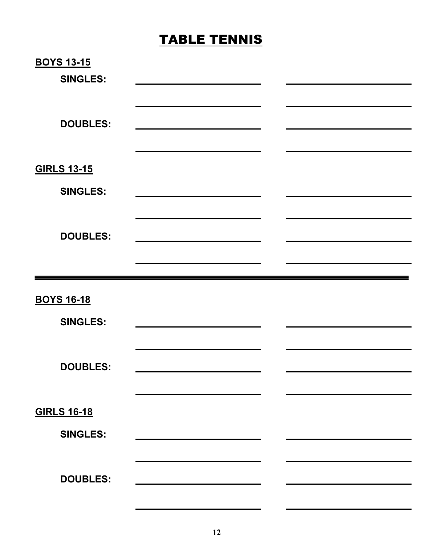# TABLE TENNIS

| <b>BOYS 13-15</b>  |                                                                                           |  |
|--------------------|-------------------------------------------------------------------------------------------|--|
| <b>SINGLES:</b>    |                                                                                           |  |
|                    |                                                                                           |  |
|                    |                                                                                           |  |
| <b>DOUBLES:</b>    |                                                                                           |  |
|                    |                                                                                           |  |
|                    |                                                                                           |  |
| <b>GIRLS 13-15</b> |                                                                                           |  |
| <b>SINGLES:</b>    |                                                                                           |  |
|                    |                                                                                           |  |
|                    |                                                                                           |  |
| <b>DOUBLES:</b>    |                                                                                           |  |
|                    |                                                                                           |  |
|                    |                                                                                           |  |
|                    |                                                                                           |  |
|                    |                                                                                           |  |
| <b>BOYS 16-18</b>  |                                                                                           |  |
| <b>SINGLES:</b>    |                                                                                           |  |
|                    |                                                                                           |  |
|                    |                                                                                           |  |
| <b>DOUBLES:</b>    |                                                                                           |  |
|                    |                                                                                           |  |
| <b>GIRLS 16-18</b> |                                                                                           |  |
|                    |                                                                                           |  |
| <b>SINGLES:</b>    |                                                                                           |  |
|                    |                                                                                           |  |
| <b>DOUBLES:</b>    | the control of the control of the control of the control of the control of the control of |  |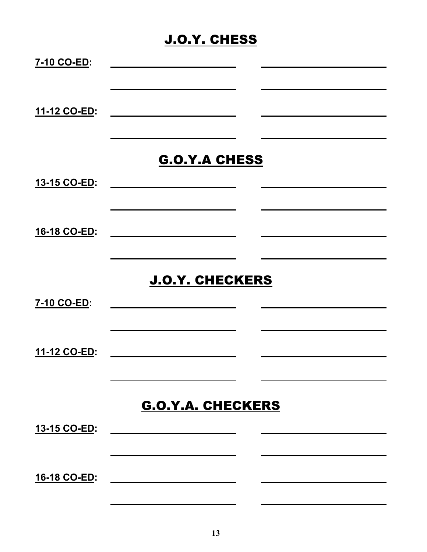## J.O.Y. CHESS

| 7-10 CO-ED:         |                                                                                                                       |  |
|---------------------|-----------------------------------------------------------------------------------------------------------------------|--|
| 11-12 CO-ED:        |                                                                                                                       |  |
|                     | <b>G.O.Y.A CHESS</b>                                                                                                  |  |
| 13-15 CO-ED:        |                                                                                                                       |  |
| 16-18 CO-ED:        |                                                                                                                       |  |
|                     | <b>J.O.Y. CHECKERS</b>                                                                                                |  |
| 7-10 CO-ED:         | <u> 1980 - Jan Store, prima po</u>                                                                                    |  |
| 11-12 CO-ED:        |                                                                                                                       |  |
|                     | <b>G.O.Y.A. CHECKERS</b>                                                                                              |  |
| 13-15 CO-ED:        | <u> 1980 - Jan Stein Harry Harry Harry Harry Harry Harry Harry Harry Harry Harry Harry Harry Harry Harry</u>          |  |
| <u>16-18 CO-ED:</u> | <u> 1989 - Johann Harry Harry Harry Harry Harry Harry Harry Harry Harry Harry Harry Harry Harry Harry Harry Harry</u> |  |